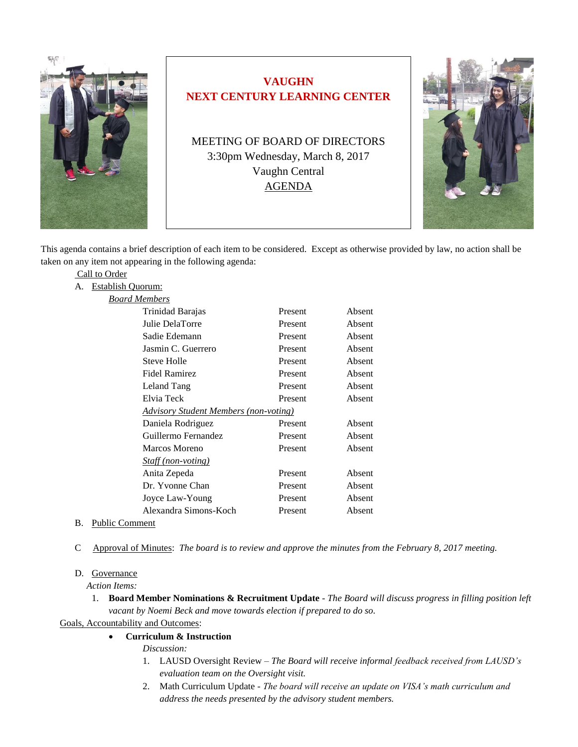

# **VAUGHN NEXT CENTURY LEARNING CENTER**

MEETING OF BOARD OF DIRECTORS 3:30pm Wednesday, March 8, 2017 Vaughn Central AGENDA



This agenda contains a brief description of each item to be considered. Except as otherwise provided by law, no action shall be taken on any item not appearing in the following agenda:

|    | Call to Order                                |                           |         |        |
|----|----------------------------------------------|---------------------------|---------|--------|
| А. | <b>Establish Quorum:</b>                     |                           |         |        |
|    | Board Members                                |                           |         |        |
|    |                                              | Trinidad Barajas          | Present | Absent |
|    |                                              | Julie DelaTorre           | Present | Absent |
|    |                                              | Sadie Edemann             | Present | Absent |
|    |                                              | Jasmin C. Guerrero        | Present | Absent |
|    |                                              | Steve Holle               | Present | Absent |
|    |                                              | <b>Fidel Ramirez</b>      | Present | Absent |
|    |                                              | Leland Tang               | Present | Absent |
|    |                                              | Elvia Teck                | Present | Absent |
|    | <b>Advisory Student Members (non-voting)</b> |                           |         |        |
|    |                                              | Daniela Rodriguez         | Present | Absent |
|    |                                              | Guillermo Fernandez       | Present | Absent |
|    |                                              | Marcos Moreno             | Present | Absent |
|    |                                              | <b>Staff</b> (non-voting) |         |        |
|    |                                              | Anita Zepeda              | Present | Absent |
|    |                                              | Dr. Yvonne Chan           | Present | Absent |
|    |                                              | Joyce Law-Young           | Present | Absent |
|    |                                              | Alexandra Simons-Koch     | Present | Absent |
|    |                                              |                           |         |        |

- B. Public Comment
- C Approval of Minutes: *The board is to review and approve the minutes from the February 8, 2017 meeting.*

## D. Governance

 *Action Items:*

1. **Board Member Nominations & Recruitment Update** - *The Board will discuss progress in filling position left vacant by Noemi Beck and move towards election if prepared to do so.*

Goals, Accountability and Outcomes:

# **Curriculum & Instruction**

*Discussion:*

- 1. LAUSD Oversight Review *The Board will receive informal feedback received from LAUSD's evaluation team on the Oversight visit.*
- 2. Math Curriculum Update *- The board will receive an update on VISA's math curriculum and address the needs presented by the advisory student members.*